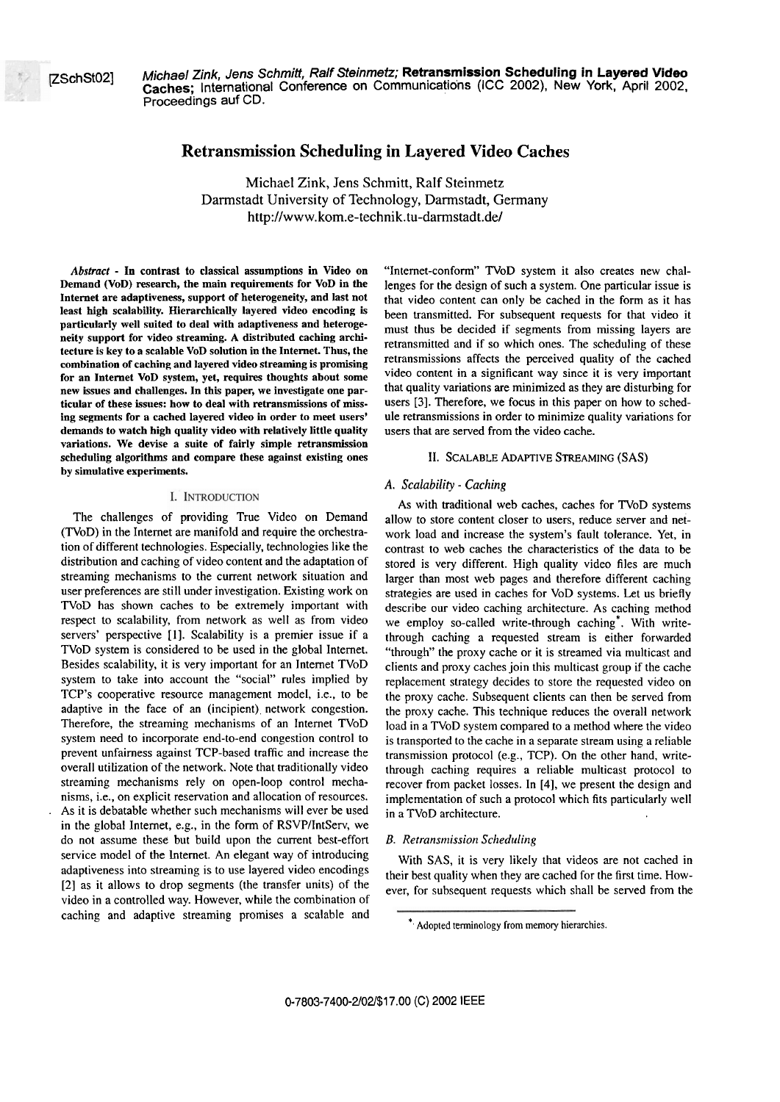pch~2] **Michael Zink, Jens Schmitt, Ralf Steinmetz; Retransmission Scheduling in Layered Video**  Caches; International Conference on Communications (ICC 2002), New York, April 2002, Proceedings auf CD.

# **Retransrnission Scheduling in Layered Video Caches**

Michael Zink, Jens Schmitt, Ralf Steinmetz Darmstadt University of Technology, Darmstadt, Germany **http://www.kom.e-technik.tu-darmstadt.de/** 

*Abstract* - **In contrast to classical assumptions in Video on Demand (VoD) research, the main requirements for VoD in the Intemet are adaptiveness, support of heterogeneity, and last not least high scalability. Hierarchically layered video encoding is parücularly well suited to deal with adaptiveness and heterogeneity suppori for video streaming. A distributed caching architecture is key to a scalable VoD solution in the Internet. Thus, the combination of caching and layered video streaming is promising Tor an Intemet VoD system, yet, requires thoughts about some new issues and challenges. In this paper, we investigate one particular of these issues: how to deal with retransmissions of missing segments for a cached layered video in order to meet users' demands to watch high quality video with relatively little quality variations. We devise a suite of fairly simple retransmission scheduling algorithms and compare these against existing ones by simulative experiments.** 

#### I. INTRODUCTION

The challenges of providing True Video on Demand (TVoD) in the Internet are manifold and require the orchestration of different technologies. Especially, technologies like the distribution and caching of video content and the adaptation of streaming mechanisms to the current network situation and user preferences are still under investigation. Existing work on TVoD has shown caches to be extremely important with respect to scalability, from network as well as from video servers' perspective [I]. Scalability is a premier issue if a TVoD system is considered to be used in the global Intemet. Besides scalability, it is very important for an Intemet TVoD systern to take into account the "social" rules implied by TCP's cooperative resource management model, i.e., to be adaptive in the face of an (incipient) network congestion. Therefore, the streaming mechanisms of an Intemet TVoD system need to incorporate end-to-end congestion control to prevent unfaimess against TCP-based traffic and increase the overall utilization of the network. Note that traditionally video streaming mechanisms rely on open-loop control mechanisrns, i.e., on explicit resewation and allocation of resources. . As it is debatable whether such rnechanisms will ever be used in the global Intemet, e.g., in the form of RSVPIIntServ, we do not assume these but build upon the current best-effort service model of the Internet. An elegant way of introducing adaptiveness into streaming is to use layered video encodings [2] as it allows to drop segments (the transfer units) of the video in a controlled way. However, while the combination of caching and adaptive streaming promises a scalable and

"Intemet-conform" TVoD system it also creates new challenges for the design of such a system. One particular issue is that video content can only be cached in the form as it has been transmitted. For subsequent requests for that video it must thus be decided if segments from missing layers are retransrnitted and if so which ones. The scheduling of these retransmissions affects the perceived quaiity of the cached video content in a significant way since it is very important that quality variations are minimized as they are disturbing for users **[3].** Therefore, we focus in this paper on how to schedule retransmissions in oder to rninimize quality variations for users that are sewed from the video cache.

### **11.** SCALABLE ADAPTIVE STREAMING (SAS)

# *A. Scalability* - *Caching*

As with traditional web caches, caches for TVoD Systems allow to store content closer to users, reduce server and network load and increase the system's fault tolerance. Yet, in contrast to web caches the characteristics of the data to be stored is very different. High quality video files are much larger than most web pages and therefore different caching strategies are used in caches for VoD Systems. Let us briefly describe our video caching architecture. As caching method we employ so-called write-through caching<sup>\*</sup>. With writethrough caching a requested stream is either forwarded "through" the proxy cache or it is streamed via multicast and clients and proxy caches join this multicast group if the cache replacement strategy decides to store the requested video on the proxy cache. Subsequent clients can then be served from the proxy cache. This technique reduces the overall network load in a TVoD system compared to a method where the video is transported to the cache in a separate stream using a reliable transmission protocol (e.g., TCP). On the other hand, writethrough caching requires a reliable n~ulticast protocol to recover from packet losses. In [4], we present the design and implementation of such a protocol which fits particularly well in a TVoD architecture.

#### *B. Retransrnission Scheduliizg*

With SAS, it is very Iikely that videos are not cached in their best quality when they are cached for the first time. However, for subsequent requests which shall be sewed from the

<sup>\*</sup> Adopted terminology from memory hierarchies.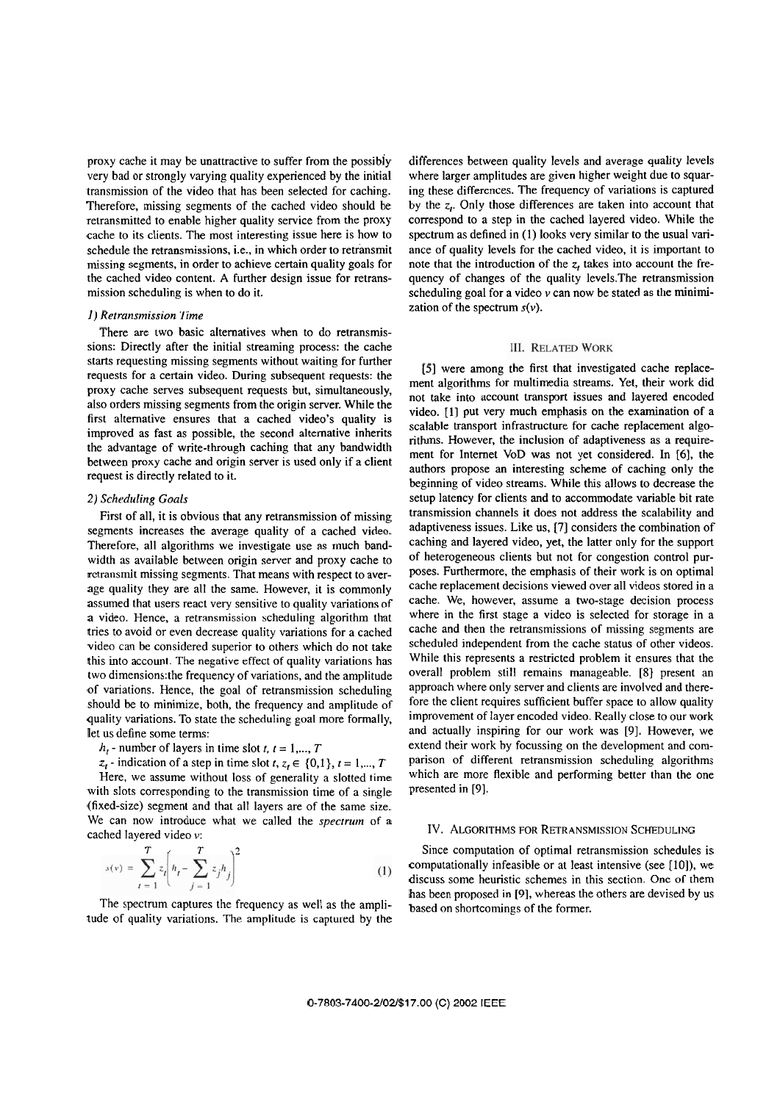proxy cache it may be unattractive to suffer from the possibiy very bad or strongly varying quality expenenced by the initial transmission of the video that has been selected for caching. Therefore, missing segments of the cached video should be retransmitted to enable higher quality service from the proxy cache to its clients. The most interesting issue here is how to schedule the retransmissions, i.e., in which order to retransmit missing segments, in order to achieve certain quality goals for the cached video content. A further design issue for retransmission scheduling is when to do it.

## *I) Retransmission Time*

There are two basic alternatives when to do retransmissions: Directly after the initial streaming process: the cache starts requesting missing segments without waiting for further requests for a certain video. During subsequent requests: the proxy cache serves subsequent requests but, simultaneously, also orders missing segments from the origin server. While the first alternative ensures that a cached video's quality is improved as fast as possible, the second alternative inherits the advantage of write-through caching that any bandwidth between proxy cache and origin server is used only if a client request is directly related to it.

# *2) Schrduling Goals*

Firsi of all, it is obvious that any retransmission of missing segments increases the average quality of a cached video. Therefore, all algorithms we investigate use as much bandwidth as available between origin server and proxy cache to retransmit missing segments. That means with respect to average quality they are all the Same. However, it is commonly assumed that users react very sensitive to quality variations of a video. Hence, a retransmission scheduling algorithm that tries to avoid or even decrease quality variations for a cached video can be considered superior to others which do not take this into account. The negative effect of quality variations has two dimensions:the frequency of variations, and the amplitude of vanations. Hence, the goal of retransmission scheduling should be to minimize, both, the frequency and amplitude of quality variations. To state the scheduling goal more formally, let us define some terms:

 $h_t$  - number of layers in time slot *t*,  $t = 1, ..., T$ 

*z*<sub>*t*</sub> - indication of a step in time slot  $t, z, \in \{0,1\}, t = 1, \ldots, T$ Here, we assume without loss of generality a slotted time with slots corresponding to the transmission time of a single (fixed-size) Segment and that all layers are of the Same size. We can now introduce what we called the *spectrum* of a cached layered video v:

$$
s(v) = \sum_{t=1}^{T} z_t \left( h_t - \sum_{j=1}^{T} z_j h_j \right)^2
$$
 (1)

The spectrum captures the frequency as well as the amplitude of quality variations. The amplitude is captured by the

differences between quality levels and average quality levels where larger amplitudes are given higher weight due to squaring these differences. The frequency of variations is captured by the **2,.** Only those differences are taken into account that correspond to a step in the cached layered video. While the spectrum as defined in *(1)* looks very similar to the usual variance of quality levels for the cached video, it is important to note that the introduction of the *z,* takes into account the frequency of changes of the quality levels.The retransmission scheduling goal for a video  $\nu$  can now be stated as the minimization of the spectrum  $s(v)$ .

#### **III. RELATED WORK**

[5] were among the first that investigated cache replacement algorithms for multimedia streams. Yet, their work did not take into account transport issues and layered encoded video. [1] put very much emphasis on the examination of a scalable transport infrastructure for cache replacement algorithms. However, the inclusion of adaptiveness as a requirement for Internet VoD **was** not yet considered. In [6], the authors propose an interesting scheme of caching only the beginning of video streams. While this allows to decrease the setup latency for clients **and** to accommodate variable bit rate transmission channels it does not address the scalability and adaptiveness issues. Like us, [7] considers the combination of caching and layered video, yet, the latter only for the support of heterogeneous clients but not for congestion control purposes. Furthermore, the emphasis of their work is on optimal cache replacement decisions viewed over all videos stored in a cache. We, however, assume a two-stage decision process where in the first stage a video is selected for storage in a cache and then the retransmissions of missing segments are scheduled independent from the cache status of other videos. While this represents a restricted problem it ensures that the overall problem still remains manageable. **[8]** present an approach where only server and clients are involved and therefore the client requires sufficient buffer space to allow quality improvement of layer encoded video. Really close to our work and actually inspiring for our work was [9]. However, we extend their work by focussing on the development and comparison of different retransmission scheduling algorithms which are more flexible and performing better than the one presented in [9].

# IV. ALGORITHMS FOR RETRANSMISSION SCHEDULING

Since computation of optimal retransmission schedules is computationally infeasible or at least intensive (see [IO]), we discuss some heuristic schemes in this section. One of them has been proposed in [9], whereas the others are devised by us based on shortcomings of the former.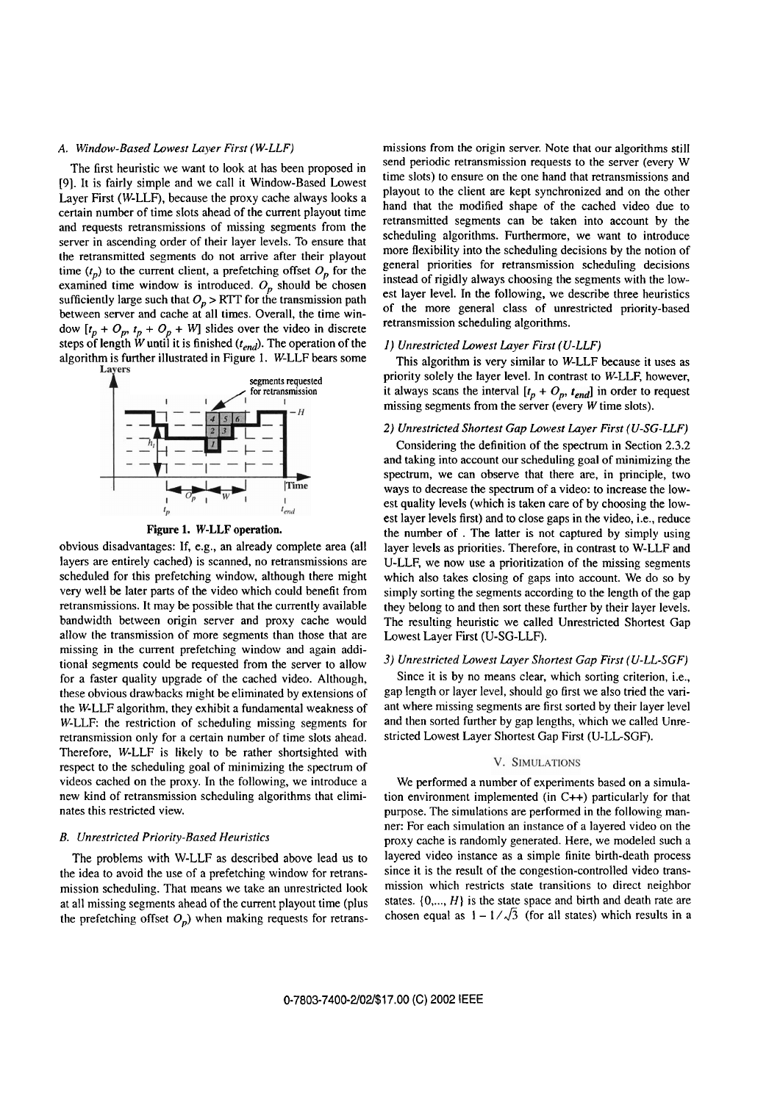# **A.** Window-Based Lowesr Layer First (W-LLF)

The first heuristic we Want to look at has been proposed in [9]. It is fairly simple and we call it Window-Based Lowest Layer First (W-LLF), because the proxy cache always looks a certain number of time slots ahead of the current playout time and requests retransmissions of missing segments from the server in ascending order of their layer levels. To ensure that the retransmitted segments do not arrive after their playout time  $(t_p)$  to the current client, a prefetching offset  $O_p$  for the examined time window is introduced.  $O_p$  should be chosen sufficiently large such that  $O_p > RTT$  for the transmission path between server and cache at all times. Overall, the time window  $[t_p + O_p, t_p + O_p + W]$  slides over the video in discrete steps of length W until it is finished ( $t_{end}$ ). The operation of the algorithm is further illustrated in Figure 1. W-LLF bears some Lavers



**Figure 1. W-LLF operation.** 

obvious disadvantages: If, e.g., an already complete area (all layers are entirely cached) is scanned, no retransmissions are scheduled for this prefetching window, although there might very well be later parts of the video which could benefit from retransmissions. It may be possible that the currently available bandwidth between origin server and proxy cache would allow the transmission of more segments than those that are missing in the current prefetching window and again additional segments could be requested from the server to allow for a faster quality upgrade of the cached video. Although, these obvious drawbacks might be eliminated by extensions of the W-LLF algorithm, they exhibit a fundamental weakness of W-LLF: the restriction of scheduling missing segments for retransmission only for a certain number of time slots ahead. Therefore, W-LLF is likely to be rather shortsighted with respect to the scheduling goal of minimizing the spectrum of videos cached on the proxy. In the following, we introduce a new kind of retransmission scheduling algorithms that eliminates this restricted view.

### B. Unrestricted Priority-Based Heuristics

The problems with W-LLF as described above lead us to the idea to avoid the use of a prefetching window for retransmission scheduling. That means we take an unrestricted look at all missing segments ahead of the current playout time (plus the prefetching offset  $O_p$ ) when making requests for retransmissions from the origin server. Note that our algorithms still send periodic retransmission requests to the server (every W time slots) to ensure on the one hand that retransmissions and playout to the client are kept synchronized and on the other hand that the modified shape of the cached video due to retransmitted segments can **be** taken into account by the scheduling algorithms. Furthermore, we Want to introduce more ßexibility into the scheduling decisions by the notion of general priorities for retransmission scheduling decisions instead of rigidly always choosing the segments with the lowest layer level. In the following, we describe three heuristics of the more general class of unrestricted priority-based retransmission scheduling algorithms.

### **1)** Unrestricted Lowest Layer First (U-LLF)

This algorithm is very similar to W-LLF because it uses as priority solely the layer level. In contrast to W-LLF, however, it always scans the interval  $[t_p + O_p, t_{end}]$  in order to request missing segments from the server (every W time slots).

#### **2)** Unrestricted Shortest Gap Lowest Layer First (U-SC-LLF)

Considering the definition of the spectrum in Section 2.3.2 and taking into account our scheduling goal of minimizing the spectrum, we can observe that there are, in principle, two ways to decrease the spectrum of a video: to increase the lowest quality levels (which is taken care of by choosing the lowest layer levels first) and to close gaps in the video, i.e., reduce the number of . The latter is not captured by simply using layer levels as priorities. Therefore, in contrast to W-LLF and U-LLF, we now use a prioritization of the missing segments which also takes closing of gaps into account. We do so by simply sorting the segments according to the length of the gap they belong to and then sort these further by their layer levels. The resulting heuristic we called Unrestricted Shortest Gap Lowest Layer Fist (U-SG-LLF).

# 3) Unrestricted Lowest Layer Shortest Gap First (U-LL-SGF)

Since it is by no means clear, which sorting criterion, i.e., gap length or layer level, should go first we also tried the variant where missing segments are first sorted by their layer level and then sorted further by gap lengths, which we called Unrestricted Lowest Layer Shortest Gap First (U-LL-SGF).

# V. SIMULATIONS

We performed a number of experiments based on a simulation environment implemented (in C++) particularly for that purpose. The simulations are performed in the following manner: For each simulation an instance of a layered video on the proxy cache is randomly generated. Here, we modeled such a layered video instance as a simple finite birth-death process since it is the result of the congestion-controlled video transmission which restricts state transitions to direct neighbor states.  $\{0, ..., H\}$  is the state space and birth and death rate are chosen equal as  $1 - 1/\sqrt{3}$  (for all states) which results in a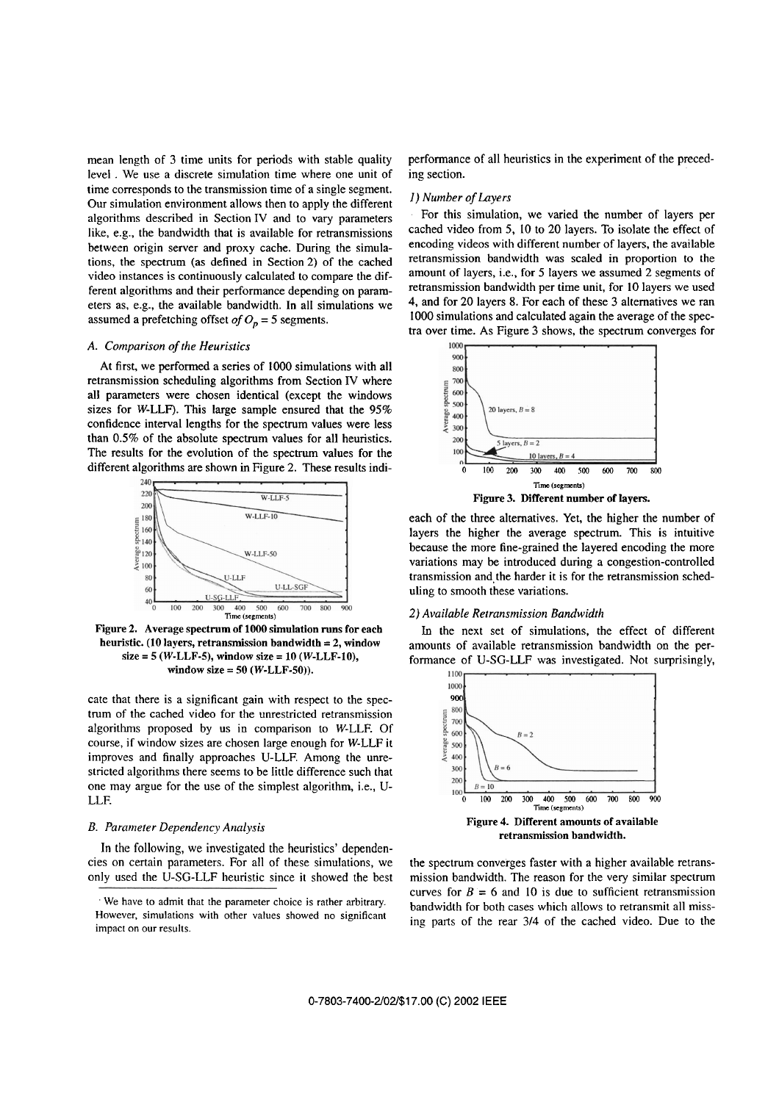mean length of **3** time units for periods with stable quality level . We use a discrete simulation time where one unit of time corresponds to the transmission time of a single segment. Our simulation environment allows then to apply the different algorithms described in Section IV and to vary parameters like, e.g., the bandwidth that is available for retransmissions between origin server and proxy cache. During the simulations, the spectrum (as defined in Section 2) of the cached video instances is continuously calculated to compare the different algorithms and their performance depending on parameters as, e.g., the available bandwidth. In all simulations we assumed a prefetching offset  $of O_p = 5$  segments.

# *A. Comparison of the Heuristics*

At first, we performed a series of 1000 simulations with all retransmission scheduling algorithms from Section IV where all parameters were chosen identical (except the windows sizes for W-LLF). This large sample ensured that the  $95\%$ confidence interval lengths for the spectrum values were less than 0.5% of the absolute spectrum values for all heuristics. The results for the evolution of the spectrum values for the different algorithms are shown in Figure 2. These results indi-



**Figure 2. Average spectrum of 1000 simulation runs for each heuristic. (10 layers, retransmission bandwidth** = **2, window size** = **5 (W-LLF-5), window size** = **10 (W-LLF-10), window size** = **50 (W-LLF-50)).** 

cate that there is a significant gain with respect to the spectrum of the cached video for the unrestricted retransmission algoritlms proposed by us in comparison to W-LLF. Of course, if window sizes are chosen large enough for W-LLF it improves and finally approaches U-LLF. Among the unrestricted algorithms there seems to be little difference such that one may argue for the use of the simplest algorithm, i.e., U-LLF.

# *B. Parurnefer Dependency Analysis*

In the following, we investigated the heuristics' dependencies on certain Parameters. For all of these simulations, we only used the U-SG-LLF heuristic since it showed the best

performance of all heuristics in the experiment of the preceding section.

# *I) Number of Layers*

For this simulation, we varied the number of layers per cached video from *5,* 10 to 20 layers. To isolate the effect of encoding videos with different number of layers, the available retransmission bandwidth was scaled in proportion to the amount of layers, i.e., for 5 layers we assumed 2 segments of retransmission bandwidth per time unit, for 10 layers we used 4, and for 20 layers 8. For each of these 3 alternatives we ran 1000 simulations and calculated again the average of the spectra over time. As Figure 3 shows, the spectrum converges for



each of the three alternatives. Yet, the higher the number of layers the higher the average spectrum. This is intuitive because the more fine-grained the layered encoding the more variations may be introduced during a congestion-controlled transmission and the harder it is for the retransmission scheduling to smooth these variations.

#### *2) Available Retransmission Bandwidth*

Ln the next set of simulations, the effect of different amounts of available retransmission bandwidth on the performance of U-SG-LLF was investigated. Not surprisingly,



the spectrum converges faster with a higher available retransmission bandwidth. The reason for the very similar spectrum curves for  $B = 6$  and 10 is due to sufficient retransmission bandwidth for both cases which allows to retransmit all missing parts of the rear 3/4 of the cached video. Due to the

<sup>&#</sup>x27; We have to admit that the Parameter choice is rather arbitrary. However, simulations with other values showed no significant impact on our results.